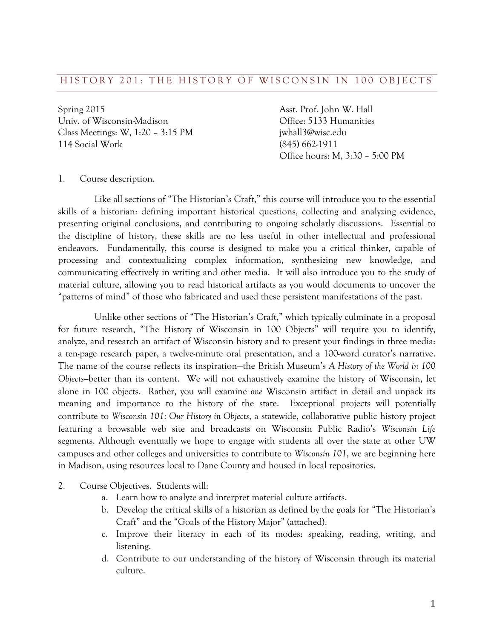Spring 2015 **Asst. Prof. John W. Hall** Univ. of Wisconsin-Madison Office: 5133 Humanities Class Meetings: W, 1:20 - 3:15 PM jwhall3@wisc.edu 114 Social Work (845) 662-1911

Office hours: M, 3:30 – 5:00 PM

#### 1. Course description.

 Like all sections of "The Historian's Craft," this course will introduce you to the essential skills of a historian: defining important historical questions, collecting and analyzing evidence, presenting original conclusions, and contributing to ongoing scholarly discussions. Essential to the discipline of history, these skills are no less useful in other intellectual and professional endeavors. Fundamentally, this course is designed to make you a critical thinker, capable of processing and contextualizing complex information, synthesizing new knowledge, and communicating effectively in writing and other media. It will also introduce you to the study of material culture, allowing you to read historical artifacts as you would documents to uncover the "patterns of mind" of those who fabricated and used these persistent manifestations of the past.

 Unlike other sections of "The Historian's Craft," which typically culminate in a proposal for future research, "The History of Wisconsin in 100 Objects" will require you to identify, analyze, and research an artifact of Wisconsin history and to present your findings in three media: a ten-page research paper, a twelve-minute oral presentation, and a 100-word curator's narrative. The name of the course reflects its inspiration—the British Museum's *A History of the World in 100 Objects—*better than its content. We will not exhaustively examine the history of Wisconsin, let alone in 100 objects. Rather, you will examine *one* Wisconsin artifact in detail and unpack its meaning and importance to the history of the state. Exceptional projects will potentially contribute to *Wisconsin 101: Our History in Objects*, a statewide, collaborative public history project featuring a browsable web site and broadcasts on Wisconsin Public Radio's *Wisconsin Life* segments. Although eventually we hope to engage with students all over the state at other UW campuses and other colleges and universities to contribute to *Wisconsin 101*, we are beginning here in Madison, using resources local to Dane County and housed in local repositories.

- 2. Course Objectives. Students will:
	- a. Learn how to analyze and interpret material culture artifacts.
	- b. Develop the critical skills of a historian as defined by the goals for "The Historian's Craft" and the "Goals of the History Major" (attached).
	- c. Improve their literacy in each of its modes: speaking, reading, writing, and listening.
	- d. Contribute to our understanding of the history of Wisconsin through its material culture.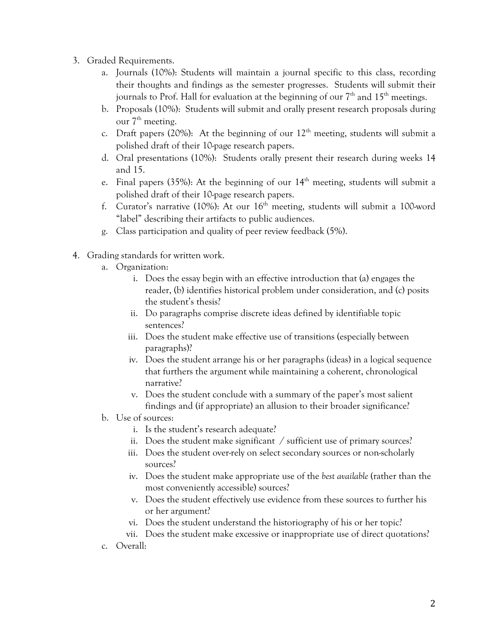- 3. Graded Requirements.
	- a. Journals (10%): Students will maintain a journal specific to this class, recording their thoughts and findings as the semester progresses. Students will submit their journals to Prof. Hall for evaluation at the beginning of our  $7<sup>th</sup>$  and  $15<sup>th</sup>$  meetings.
	- b. Proposals (10%): Students will submit and orally present research proposals during our  $7<sup>th</sup>$  meeting.
	- c. Draft papers (20%): At the beginning of our  $12<sup>th</sup>$  meeting, students will submit a polished draft of their 10-page research papers.
	- d. Oral presentations (10%): Students orally present their research during weeks 14 and 15.
	- e. Final papers (35%): At the beginning of our  $14<sup>th</sup>$  meeting, students will submit a polished draft of their 10-page research papers.
	- f. Curator's narrative (10%): At our  $16<sup>th</sup>$  meeting, students will submit a 100-word "label" describing their artifacts to public audiences.
	- g. Class participation and quality of peer review feedback (5%).
- 4. Grading standards for written work.
	- a. Organization:
		- i. Does the essay begin with an effective introduction that (a) engages the reader, (b) identifies historical problem under consideration, and (c) posits the student's thesis?
		- ii. Do paragraphs comprise discrete ideas defined by identifiable topic sentences?
		- iii. Does the student make effective use of transitions (especially between paragraphs)?
		- iv. Does the student arrange his or her paragraphs (ideas) in a logical sequence that furthers the argument while maintaining a coherent, chronological narrative?
		- v. Does the student conclude with a summary of the paper's most salient findings and (if appropriate) an allusion to their broader significance?
	- b. Use of sources:
		- i. Is the student's research adequate?
		- ii. Does the student make significant / sufficient use of primary sources?
		- iii. Does the student over-rely on select secondary sources or non-scholarly sources?
		- iv. Does the student make appropriate use of the *best available* (rather than the most conveniently accessible) sources?
		- v. Does the student effectively use evidence from these sources to further his or her argument?
		- vi. Does the student understand the historiography of his or her topic?
		- vii. Does the student make excessive or inappropriate use of direct quotations?
	- c. Overall: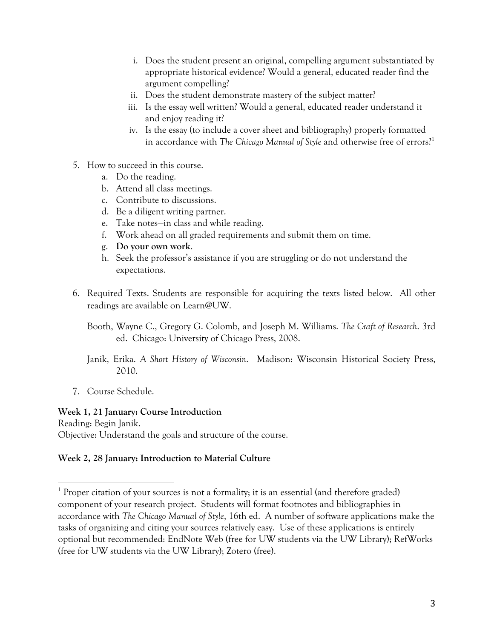- i. Does the student present an original, compelling argument substantiated by appropriate historical evidence? Would a general, educated reader find the argument compelling?
- ii. Does the student demonstrate mastery of the subject matter?
- iii. Is the essay well written? Would a general, educated reader understand it and enjoy reading it?
- iv. Is the essay (to include a cover sheet and bibliography) properly formatted in accordance with *The Chicago Manual of Style* and otherwise free of errors?<sup>1</sup>
- 5. How to succeed in this course.
	- a. Do the reading.
	- b. Attend all class meetings.
	- c. Contribute to discussions.
	- d. Be a diligent writing partner.
	- e. Take notes—in class and while reading.
	- f. Work ahead on all graded requirements and submit them on time.
	- g. **Do your own work**.
	- h. Seek the professor's assistance if you are struggling or do not understand the expectations.
- 6. Required Texts. Students are responsible for acquiring the texts listed below. All other readings are available on Learn@UW.
	- Booth, Wayne C., Gregory G. Colomb, and Joseph M. Williams. *The Craft of Research*. 3rd ed. Chicago: University of Chicago Press, 2008.
	- Janik, Erika. *A Short History of Wisconsin*. Madison: Wisconsin Historical Society Press, 2010.
- 7. Course Schedule.

 

#### **Week 1, 21 January: Course Introduction**

Reading: Begin Janik. Objective: Understand the goals and structure of the course.

### **Week 2, 28 January: Introduction to Material Culture**

<sup>&</sup>lt;sup>1</sup> Proper citation of your sources is not a formality; it is an essential (and therefore graded) component of your research project. Students will format footnotes and bibliographies in accordance with *The Chicago Manual of Style*, 16th ed. A number of software applications make the tasks of organizing and citing your sources relatively easy. Use of these applications is entirely optional but recommended: EndNote Web (free for UW students via the UW Library); RefWorks (free for UW students via the UW Library); Zotero (free).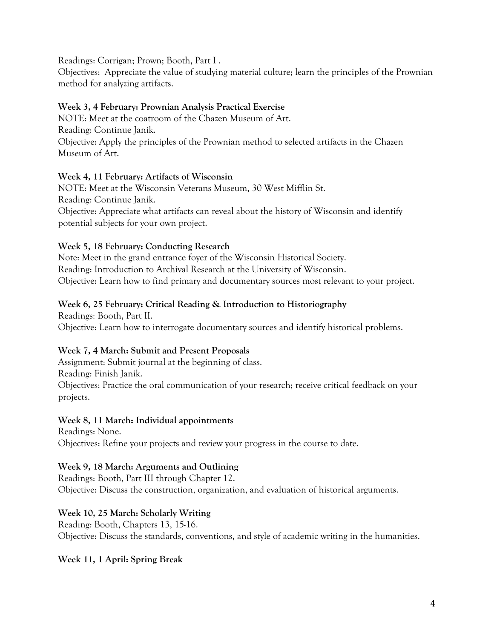Readings: Corrigan; Prown; Booth, Part I .

Objectives: Appreciate the value of studying material culture; learn the principles of the Prownian method for analyzing artifacts.

### **Week 3, 4 February: Prownian Analysis Practical Exercise**

NOTE: Meet at the coatroom of the Chazen Museum of Art. Reading: Continue Janik. Objective: Apply the principles of the Prownian method to selected artifacts in the Chazen Museum of Art.

### **Week 4, 11 February: Artifacts of Wisconsin**

NOTE: Meet at the Wisconsin Veterans Museum, 30 West Mifflin St. Reading: Continue Janik. Objective: Appreciate what artifacts can reveal about the history of Wisconsin and identify potential subjects for your own project.

# **Week 5, 18 February: Conducting Research**

Note: Meet in the grand entrance foyer of the Wisconsin Historical Society. Reading: Introduction to Archival Research at the University of Wisconsin. Objective: Learn how to find primary and documentary sources most relevant to your project.

### **Week 6, 25 February: Critical Reading & Introduction to Historiography**

Readings: Booth, Part II. Objective: Learn how to interrogate documentary sources and identify historical problems.

# **Week 7, 4 March: Submit and Present Proposals**

Assignment: Submit journal at the beginning of class.

Reading: Finish Janik.

Objectives: Practice the oral communication of your research; receive critical feedback on your projects.

### **Week 8, 11 March: Individual appointments**

Readings: None. Objectives: Refine your projects and review your progress in the course to date.

### **Week 9, 18 March: Arguments and Outlining**

Readings: Booth, Part III through Chapter 12. Objective: Discuss the construction, organization, and evaluation of historical arguments.

# **Week 10, 25 March: Scholarly Writing**

Reading: Booth, Chapters 13, 15-16. Objective: Discuss the standards, conventions, and style of academic writing in the humanities.

# **Week 11, 1 April: Spring Break**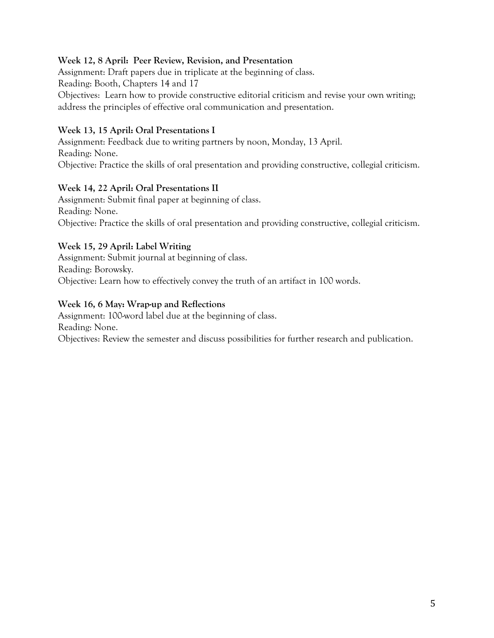### **Week 12, 8 April: Peer Review, Revision, and Presentation**

Assignment: Draft papers due in triplicate at the beginning of class.

Reading: Booth, Chapters 14 and 17

Objectives: Learn how to provide constructive editorial criticism and revise your own writing; address the principles of effective oral communication and presentation.

#### **Week 13, 15 April: Oral Presentations I**

Assignment: Feedback due to writing partners by noon, Monday, 13 April. Reading: None. Objective: Practice the skills of oral presentation and providing constructive, collegial criticism.

#### **Week 14, 22 April: Oral Presentations II**

Assignment: Submit final paper at beginning of class. Reading: None. Objective: Practice the skills of oral presentation and providing constructive, collegial criticism.

#### **Week 15, 29 April: Label Writing**

Assignment: Submit journal at beginning of class. Reading: Borowsky. Objective: Learn how to effectively convey the truth of an artifact in 100 words.

#### **Week 16, 6 May: Wrap-up and Reflections**

Assignment: 100-word label due at the beginning of class. Reading: None. Objectives: Review the semester and discuss possibilities for further research and publication.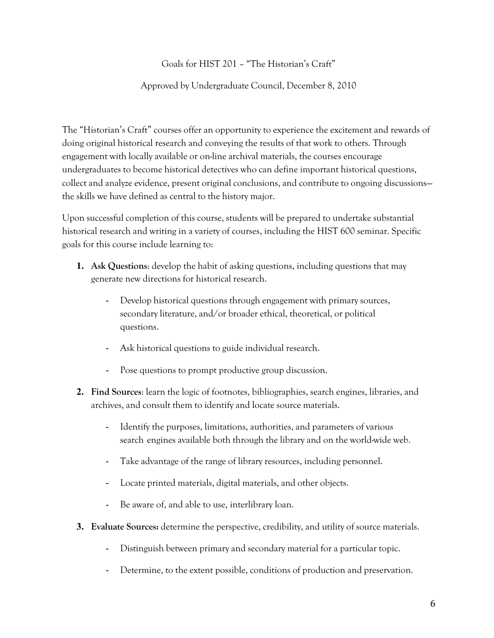# Goals for HIST 201 – "The Historian's Craft"

### Approved by Undergraduate Council, December 8, 2010

The "Historian's Craft" courses offer an opportunity to experience the excitement and rewards of doing original historical research and conveying the results of that work to others. Through engagement with locally available or on-line archival materials, the courses encourage undergraduates to become historical detectives who can define important historical questions, collect and analyze evidence, present original conclusions, and contribute to ongoing discussions the skills we have defined as central to the history major.

Upon successful completion of this course, students will be prepared to undertake substantial historical research and writing in a variety of courses, including the HIST 600 seminar. Specific goals for this course include learning to:

- **1. Ask Questions**: develop the habit of asking questions, including questions that may generate new directions for historical research.
	- Develop historical questions through engagement with primary sources, secondary literature, and/or broader ethical, theoretical, or political questions.
	- Ask historical questions to guide individual research.
	- Pose questions to prompt productive group discussion.
- **2. Find Sources**: learn the logic of footnotes, bibliographies, search engines, libraries, and archives, and consult them to identify and locate source materials.
	- Identify the purposes, limitations, authorities, and parameters of various search engines available both through the library and on the world-wide web.
	- Take advantage of the range of library resources, including personnel.
	- Locate printed materials, digital materials, and other objects.
	- Be aware of, and able to use, interlibrary loan.
- **3. Evaluate Sources:** determine the perspective, credibility, and utility of source materials.
	- Distinguish between primary and secondary material for a particular topic.
	- Determine, to the extent possible, conditions of production and preservation.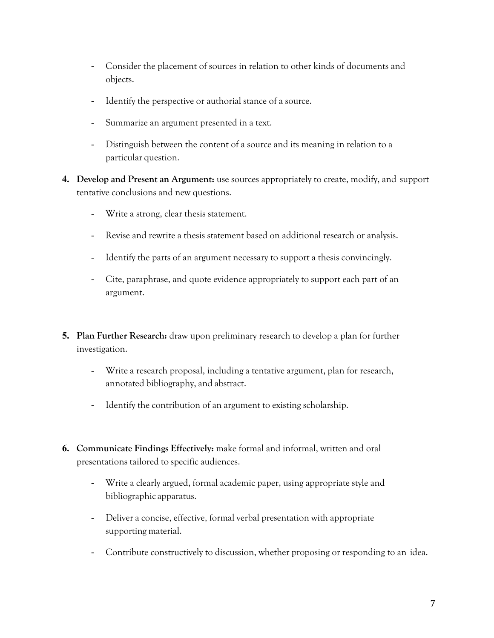- Consider the placement of sources in relation to other kinds of documents and objects.
- Identify the perspective or authorial stance of a source.
- Summarize an argument presented in a text.
- Distinguish between the content of a source and its meaning in relation to a particular question.
- **4. Develop and Present an Argument:** use sources appropriately to create, modify, and support tentative conclusions and new questions.
	- Write a strong, clear thesis statement.
	- Revise and rewrite a thesis statement based on additional research or analysis.
	- Identify the parts of an argument necessary to support a thesis convincingly.
	- Cite, paraphrase, and quote evidence appropriately to support each part of an argument.
- **5. Plan Further Research:** draw upon preliminary research to develop a plan for further investigation.
	- Write a research proposal, including a tentative argument, plan for research, annotated bibliography, and abstract.
	- Identify the contribution of an argument to existing scholarship.
- **6. Communicate Findings Effectively:** make formal and informal, written and oral presentations tailored to specific audiences.
	- Write a clearly argued, formal academic paper, using appropriate style and bibliographic apparatus.
	- Deliver a concise, effective, formal verbal presentation with appropriate supporting material.
	- Contribute constructively to discussion, whether proposing or responding to an idea.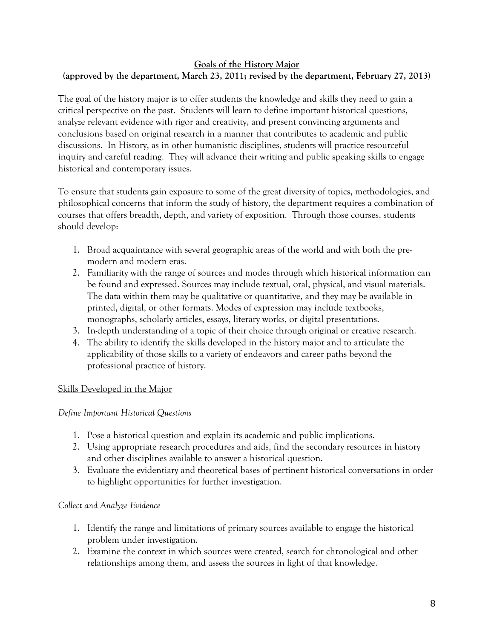### **Goals of the History Major**

# **(approved by the department, March 23, 2011; revised by the department, February 27, 2013)**

The goal of the history major is to offer students the knowledge and skills they need to gain a critical perspective on the past. Students will learn to define important historical questions, analyze relevant evidence with rigor and creativity, and present convincing arguments and conclusions based on original research in a manner that contributes to academic and public discussions. In History, as in other humanistic disciplines, students will practice resourceful inquiry and careful reading. They will advance their writing and public speaking skills to engage historical and contemporary issues.

To ensure that students gain exposure to some of the great diversity of topics, methodologies, and philosophical concerns that inform the study of history, the department requires a combination of courses that offers breadth, depth, and variety of exposition. Through those courses, students should develop:

- 1. Broad acquaintance with several geographic areas of the world and with both the premodern and modern eras.
- 2. Familiarity with the range of sources and modes through which historical information can be found and expressed. Sources may include textual, oral, physical, and visual materials. The data within them may be qualitative or quantitative, and they may be available in printed, digital, or other formats. Modes of expression may include textbooks, monographs, scholarly articles, essays, literary works, or digital presentations.
- 3. In-depth understanding of a topic of their choice through original or creative research.
- 4. The ability to identify the skills developed in the history major and to articulate the applicability of those skills to a variety of endeavors and career paths beyond the professional practice of history.

### Skills Developed in the Major

### *Define Important Historical Questions*

- 1. Pose a historical question and explain its academic and public implications.
- 2. Using appropriate research procedures and aids, find the secondary resources in history and other disciplines available to answer a historical question.
- 3. Evaluate the evidentiary and theoretical bases of pertinent historical conversations in order to highlight opportunities for further investigation.

### *Collect and Analyze Evidence*

- 1. Identify the range and limitations of primary sources available to engage the historical problem under investigation.
- 2. Examine the context in which sources were created, search for chronological and other relationships among them, and assess the sources in light of that knowledge.